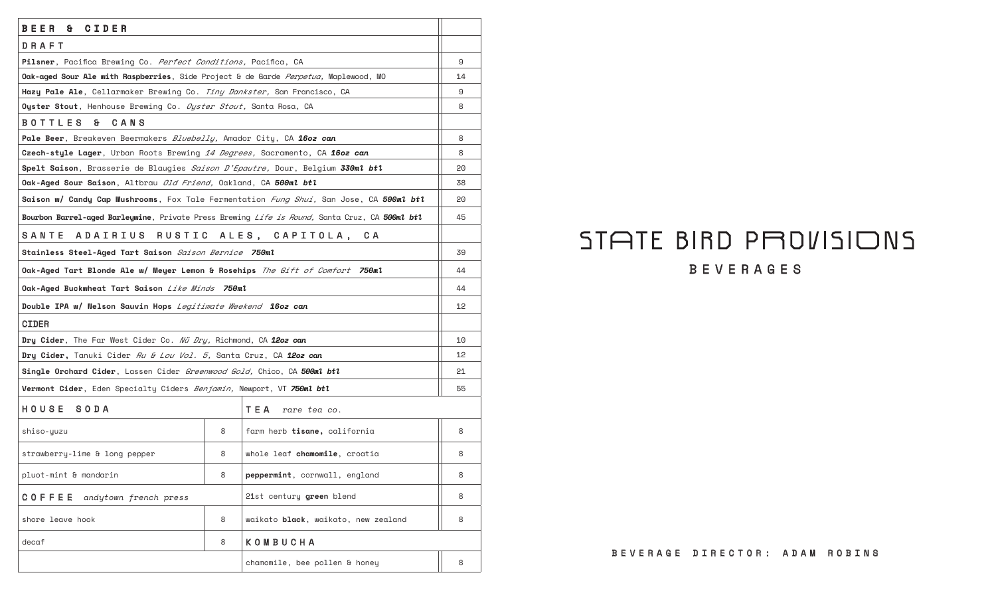| BEER<br>CIDER<br>&.                                                                                 |   |                                                                                               |    |
|-----------------------------------------------------------------------------------------------------|---|-----------------------------------------------------------------------------------------------|----|
| DRAFT                                                                                               |   |                                                                                               |    |
| <b>Pilsner</b> , Pacifica Brewing Co. <i>Perfect Conditions,</i> Pacifica, CA                       |   |                                                                                               | 9  |
| Oak-aged Sour Ale with Raspberries, Side Project & de Garde Perpetua, Maplewood, MO                 |   |                                                                                               | 14 |
| Hazy Pale Ale, Cellarmaker Brewing Co. Tiny Dankster, San Francisco, CA                             |   |                                                                                               | 9  |
| Oyster Stout, Henhouse Brewing Co. Oyster Stout, Santa Rosa, CA                                     |   |                                                                                               | 8  |
| <b>BOTTLES</b><br>a.<br>CANS                                                                        |   |                                                                                               |    |
| Pale Beer, Breakeven Beermakers Bluebelly, Amador City, CA 1602 can                                 |   |                                                                                               | 8  |
| Czech-style Lager, Urban Roots Brewing 14 Degrees, Sacramento, CA 16oz can                          |   |                                                                                               | 8  |
| <b>Spelt Saison</b> , Brasserie de Blaugies <i>Saison D'Epautre,</i> Dour, Belgium <b>330ml btl</b> |   |                                                                                               | 20 |
| Oak-Aged Sour Saison, Altbrau Old Friend, Oakland, CA 500ml btl                                     |   |                                                                                               | 38 |
|                                                                                                     |   | Saison w/ Candy Cap Mushrooms, Fox Tale Fermentation Fung Shui, San Jose, CA 500ml btl        | 20 |
|                                                                                                     |   | Bourbon Barrel-aged Barleywine, Private Press Brewing Life is Round, Santa Cruz, CA 500ml btl | 45 |
| ADAIRIUS RUSTIC ALES, CAPITOLA,<br>SANTE                                                            |   | C A                                                                                           |    |
| Stainless Steel-Aged Tart Saison Saison Bernice 750ml                                               |   |                                                                                               | 39 |
| Oak-Aged Tart Blonde Ale w/ Meyer Lemon & Rosehips <i>The Gift of Comfort</i> <b>750ml</b>          |   |                                                                                               | 44 |
| Oak-Aged Buckwheat Tart Saison <i>Like Minds 7</i> 50ml                                             |   |                                                                                               | 44 |
| Double IPA w/ Nelson Sauvin Hops Legitimate Weekend 16oz can                                        |   |                                                                                               | 12 |
| <b>CIDER</b>                                                                                        |   |                                                                                               |    |
| Dry Cider, The Far West Cider Co. Nü Dry, Richmond, CA 12oz can                                     |   |                                                                                               | 10 |
| Dry Cider, Tanuki Cider <i>Ru &amp; Lou Vol. 5,</i> Santa Cruz, CA 12oz can                         |   |                                                                                               | 12 |
| Single Orchard Cider, Lassen Cider Greenwood Gold, Chico, CA 500ml btl                              |   |                                                                                               | 21 |
| Vermont Cider, Eden Specialty Ciders Benjamin, Newport, VT 750ml btl                                |   |                                                                                               | 55 |
| HOUSE<br><b>SODA</b>                                                                                |   | TEA<br>rare tea co.                                                                           |    |
| shiso-yuzu                                                                                          | 8 | farm herb tisane, california                                                                  | 8  |
| strawberry-lime & long pepper                                                                       | 8 | whole leaf <b>chamomile</b> , croatia                                                         | 8  |
| pluot-mint & mandarin                                                                               | 8 | peppermint, cornwall, england                                                                 | 8  |
| COFFEE<br>andytown french press                                                                     |   | 21st century green blend                                                                      | 8  |
| shore leave hook                                                                                    | 8 | waikato black, waikato, new zealand                                                           | 8  |
| decaf                                                                                               | 8 | KOMBUCHA                                                                                      |    |
|                                                                                                     |   | chamomile, bee pollen & honey                                                                 | 8  |

## STATE BIRD PROVISIONS BEVERAGES

## BEVERAGE DIRECTOR: ADAM ROBINS